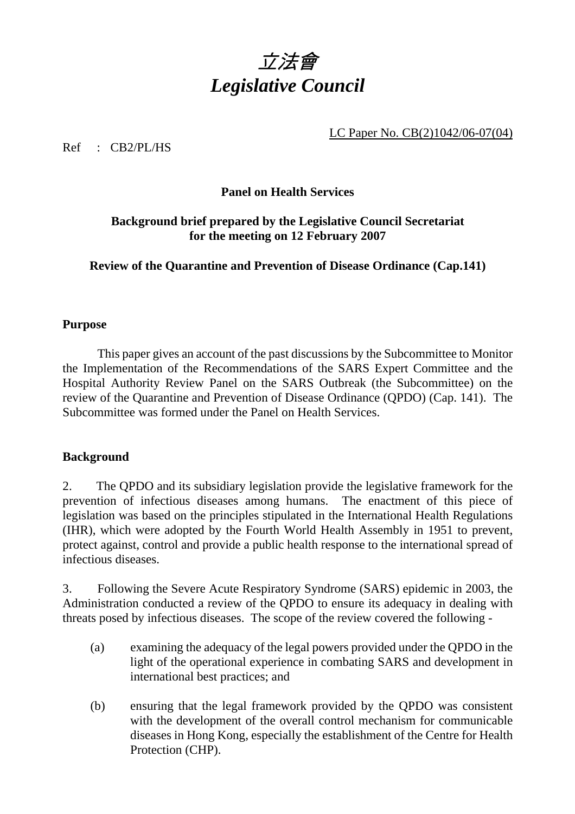

LC Paper No. CB(2)1042/06-07(04)

Ref : CB2/PL/HS

## **Panel on Health Services**

# **Background brief prepared by the Legislative Council Secretariat for the meeting on 12 February 2007**

**Review of the Quarantine and Prevention of Disease Ordinance (Cap.141)** 

# **Purpose**

 This paper gives an account of the past discussions by the Subcommittee to Monitor the Implementation of the Recommendations of the SARS Expert Committee and the Hospital Authority Review Panel on the SARS Outbreak (the Subcommittee) on the review of the Quarantine and Prevention of Disease Ordinance (QPDO) (Cap. 141). The Subcommittee was formed under the Panel on Health Services.

### **Background**

2. The QPDO and its subsidiary legislation provide the legislative framework for the prevention of infectious diseases among humans. The enactment of this piece of legislation was based on the principles stipulated in the International Health Regulations (IHR), which were adopted by the Fourth World Health Assembly in 1951 to prevent, protect against, control and provide a public health response to the international spread of infectious diseases.

3. Following the Severe Acute Respiratory Syndrome (SARS) epidemic in 2003, the Administration conducted a review of the QPDO to ensure its adequacy in dealing with threats posed by infectious diseases. The scope of the review covered the following -

- (a) examining the adequacy of the legal powers provided under the QPDO in the light of the operational experience in combating SARS and development in international best practices; and
- (b) ensuring that the legal framework provided by the QPDO was consistent with the development of the overall control mechanism for communicable diseases in Hong Kong, especially the establishment of the Centre for Health Protection (CHP).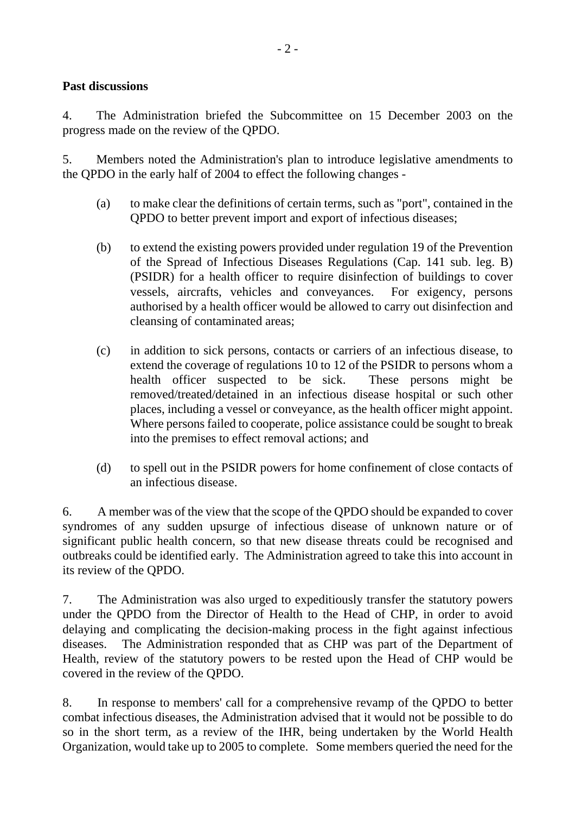# **Past discussions**

4. The Administration briefed the Subcommittee on 15 December 2003 on the progress made on the review of the QPDO.

5. Members noted the Administration's plan to introduce legislative amendments to the QPDO in the early half of 2004 to effect the following changes -

- (a) to make clear the definitions of certain terms, such as "port", contained in the QPDO to better prevent import and export of infectious diseases;
- (b) to extend the existing powers provided under regulation 19 of the Prevention of the Spread of Infectious Diseases Regulations (Cap. 141 sub. leg. B) (PSIDR) for a health officer to require disinfection of buildings to cover vessels, aircrafts, vehicles and conveyances. For exigency, persons authorised by a health officer would be allowed to carry out disinfection and cleansing of contaminated areas;
- (c) in addition to sick persons, contacts or carriers of an infectious disease, to extend the coverage of regulations 10 to 12 of the PSIDR to persons whom a health officer suspected to be sick. These persons might be removed/treated/detained in an infectious disease hospital or such other places, including a vessel or conveyance, as the health officer might appoint. Where persons failed to cooperate, police assistance could be sought to break into the premises to effect removal actions; and
- (d) to spell out in the PSIDR powers for home confinement of close contacts of an infectious disease.

6. A member was of the view that the scope of the QPDO should be expanded to cover syndromes of any sudden upsurge of infectious disease of unknown nature or of significant public health concern, so that new disease threats could be recognised and outbreaks could be identified early. The Administration agreed to take this into account in its review of the QPDO.

7. The Administration was also urged to expeditiously transfer the statutory powers under the QPDO from the Director of Health to the Head of CHP, in order to avoid delaying and complicating the decision-making process in the fight against infectious diseases. The Administration responded that as CHP was part of the Department of Health, review of the statutory powers to be rested upon the Head of CHP would be covered in the review of the QPDO.

8. In response to members' call for a comprehensive revamp of the QPDO to better combat infectious diseases, the Administration advised that it would not be possible to do so in the short term, as a review of the IHR, being undertaken by the World Health Organization, would take up to 2005 to complete. Some members queried the need for the